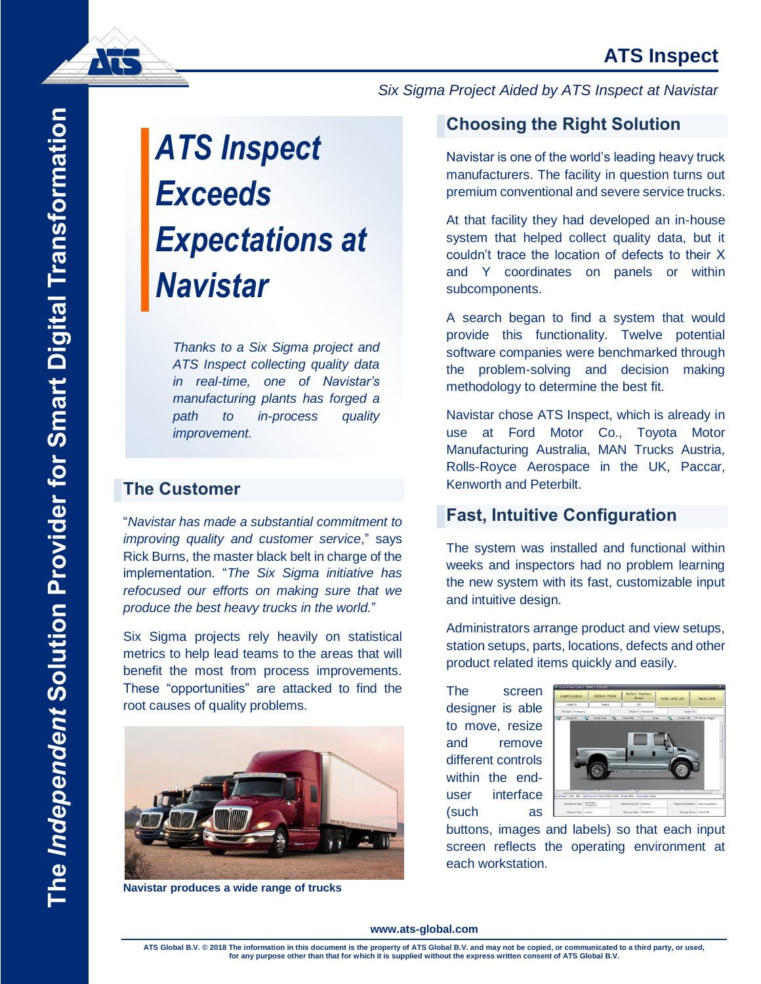# *ATS Inspect Exceeds Expectations at Navistar*

*Thanks to a Six Sigma project and ATS Inspect collecting quality data in real-time, one of Navistar's manufacturing plants has forged a path to in-process quality improvement.*

### **The Customer**

"*Navistar has made a substantial commitment to improving quality and customer service*," says Rick Burns, the master black belt in charge of the implementation. "*The Six Sigma initiative has refocused our efforts on making sure that we produce the best heavy trucks in the world.*"

Six Sigma projects rely heavily on statistical metrics to help lead teams to the areas that will benefit the most from process improvements. These "opportunities" are attacked to find the root causes of quality problems.



**Navistar produces a wide range of trucks**

#### *Six Sigma Project Aided by ATS Inspect at Navistar*

## **Choosing the Right Solution**

*Subtitle* Navistar is one of the world's leading heavy truck manufacturers. The facility in question turns out premium conventional and severe service trucks.

At that facility they had developed an in-house system that helped collect quality data, but it couldn't trace the location of defects to their X and Y coordinates on panels or within subcomponents.

A search began to find a system that would provide this functionality. Twelve potential software companies were benchmarked through the problem-solving and decision making methodology to determine the best fit.

Navistar chose ATS Inspect, which is already in use at Ford Motor Co., Toyota Motor Manufacturing Australia, MAN Trucks Austria, Rolls-Royce Aerospace in the UK, Paccar, Kenworth and Peterbilt.

## **Fast, Intuitive Configuration**

The system was installed and functional within weeks and inspectors had no problem learning the new system with its fast, customizable input and intuitive design.

Administrators arrange product and view setups, station setups, parts, locations, defects and other product related items quickly and easily.

The screen designer is able to move, resize and remove different controls within the enduser interface (such as



buttons, images and labels) so that each input screen reflects the operating environment at each workstation.

#### **www.ats-global.com**

**ATS Global B.V. © 2018 The information in this document is the property of ATS Global B.V. and may not be copied, or communicated to a third party, or used, for any purpose other than that for which it is supplied without the express written consent of ATS Global B.V.**